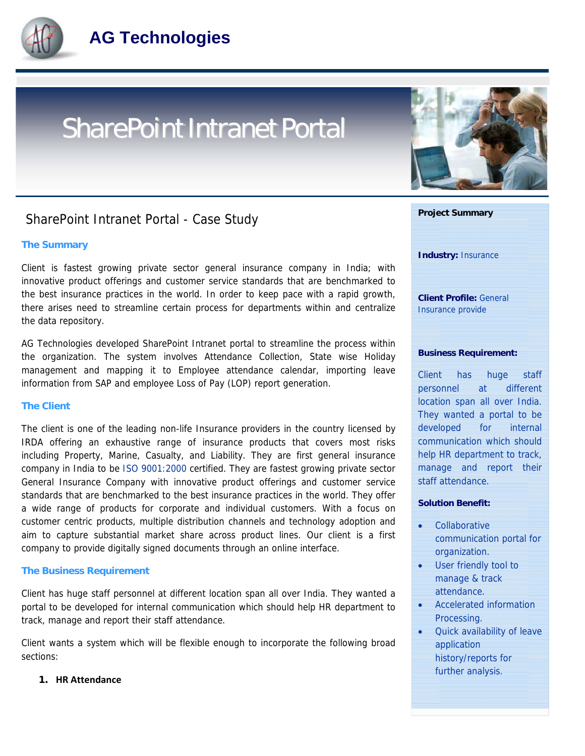

# SharePoint Intranet Portal

### SharePoint Intranet Portal - Case Study

#### **The Summary**

Client is fastest growing private sector general insurance company in India; with innovative product offerings and customer service standards that are benchmarked to the best insurance practices in the world. In order to keep pace with a rapid growth, there arises need to streamline certain process for departments within and centralize the data repository.

AG Technologies developed SharePoint Intranet portal to streamline the process within the organization. The system involves Attendance Collection, State wise Holiday management and mapping it to Employee attendance calendar, importing leave information from SAP and employee Loss of Pay (LOP) report generation.

#### **The Client**

The client is one of the leading non-life Insurance providers in the country licensed by IRDA offering an exhaustive range of insurance products that covers most risks including Property, Marine, Casualty, and Liability. They are first general insurance company in India to be ISO 9001:2000 certified. They are fastest growing private sector General Insurance Company with innovative product offerings and customer service standards that are benchmarked to the best insurance practices in the world. They offer a wide range of products for corporate and individual customers. With a focus on customer centric products, multiple distribution channels and technology adoption and aim to capture substantial market share across product lines. Our client is a first company to provide digitally signed documents through an online interface.

#### **The Business Requirement**

Client has huge staff personnel at different location span all over India. They wanted a portal to be developed for internal communication which should help HR department to track, manage and report their staff attendance.

Client wants a system which will be flexible enough to incorporate the following broad sections:

#### **1. HR Attendance**





history/reports for further analysis.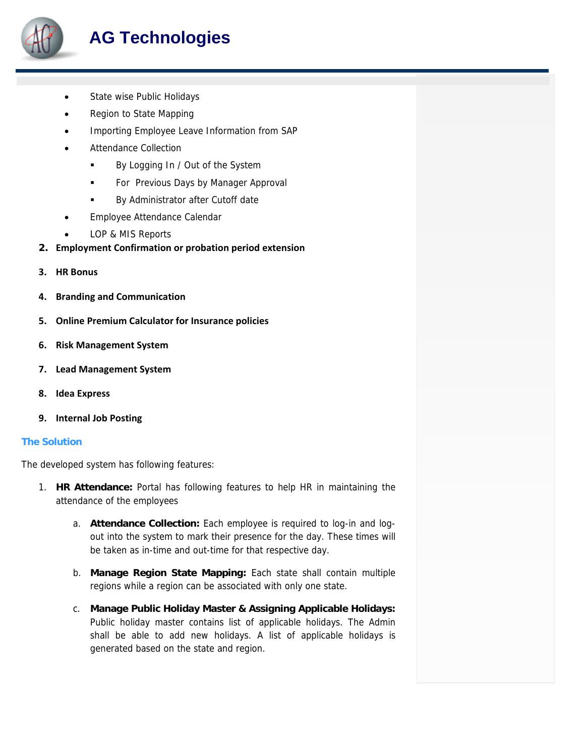

## **AG Technologies**

- State wise Public Holidays
- Region to State Mapping
- Importing Employee Leave Information from SAP
- Attendance Collection
	- By Logging In / Out of the System
	- **For Previous Days by Manager Approval**
	- **By Administrator after Cutoff date**
- Employee Attendance Calendar
- LOP & MIS Reports
- **2. Employment Confirmation or probation period extension**
- **3. HR Bonus**
- **4. Branding and Communication**
- **5. Online Premium Calculator for Insurance policies**
- **6. Risk Management System**
- **7. Lead Management System**
- **8. Idea Express**
- **9. Internal Job Posting**

#### **The Solution**

The developed system has following features:

- 1. **HR Attendance:** Portal has following features to help HR in maintaining the attendance of the employees
	- a. **Attendance Collection:** Each employee is required to log-in and logout into the system to mark their presence for the day. These times will be taken as in-time and out-time for that respective day.
	- b. **Manage Region State Mapping:** Each state shall contain multiple regions while a region can be associated with only one state.
	- c. **Manage Public Holiday Master & Assigning Applicable Holidays:** Public holiday master contains list of applicable holidays. The Admin shall be able to add new holidays. A list of applicable holidays is generated based on the state and region.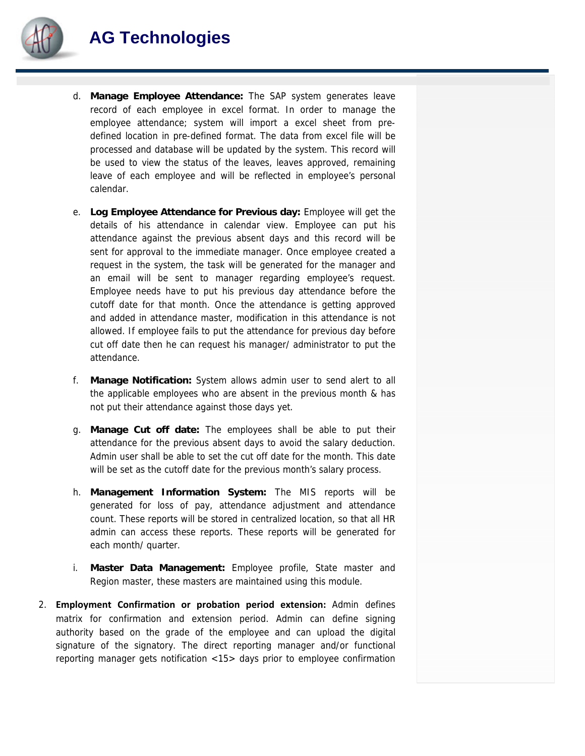

- d. **Manage Employee Attendance:** The SAP system generates leave record of each employee in excel format. In order to manage the employee attendance; system will import a excel sheet from predefined location in pre-defined format. The data from excel file will be processed and database will be updated by the system. This record will be used to view the status of the leaves, leaves approved, remaining leave of each employee and will be reflected in employee's personal calendar.
- e. **Log Employee Attendance for Previous day:** Employee will get the details of his attendance in calendar view. Employee can put his attendance against the previous absent days and this record will be sent for approval to the immediate manager. Once employee created a request in the system, the task will be generated for the manager and an email will be sent to manager regarding employee's request. Employee needs have to put his previous day attendance before the cutoff date for that month. Once the attendance is getting approved and added in attendance master, modification in this attendance is not allowed. If employee fails to put the attendance for previous day before cut off date then he can request his manager/ administrator to put the attendance.
- f. **Manage Notification:** System allows admin user to send alert to all the applicable employees who are absent in the previous month & has not put their attendance against those days yet.
- g. **Manage Cut off date:** The employees shall be able to put their attendance for the previous absent days to avoid the salary deduction. Admin user shall be able to set the cut off date for the month. This date will be set as the cutoff date for the previous month's salary process.
- h. **Management Information System:** The MIS reports will be generated for loss of pay, attendance adjustment and attendance count. These reports will be stored in centralized location, so that all HR admin can access these reports. These reports will be generated for each month/ quarter.
- i. **Master Data Management:** Employee profile, State master and Region master, these masters are maintained using this module.
- 2. **Employment Confirmation or probation period extension:** Admin defines matrix for confirmation and extension period. Admin can define signing authority based on the grade of the employee and can upload the digital signature of the signatory. The direct reporting manager and/or functional reporting manager gets notification <15> days prior to employee confirmation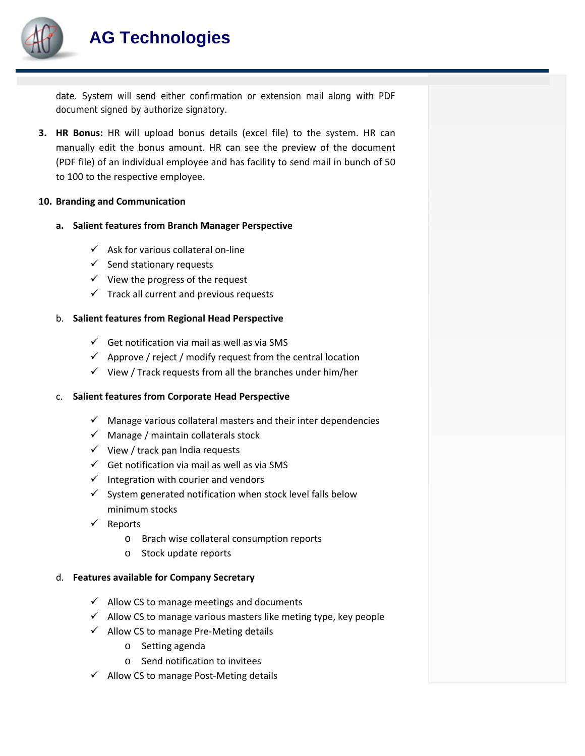

date. System will send either confirmation or extension mail along with PDF document signed by authorize signatory.

**3. HR Bonus:** HR will upload bonus details (excel file) to the system. HR can manually edit the bonus amount. HR can see the preview of the document (PDF file) of an individual employee and has facility to send mail in bunch of 50 to 100 to the respective employee.

#### **10. Branding and Communication**

#### **a. Salient features from Branch Manager Perspective**

- $\checkmark$  Ask for various collateral on-line
- $\checkmark$  Send stationary requests
- $\checkmark$  View the progress of the request
- $\checkmark$  Track all current and previous requests

#### b. **Salient features from Regional Head Perspective**

- $\checkmark$  Get notification via mail as well as via SMS
- $\checkmark$  Approve / reject / modify request from the central location
- $\checkmark$  View / Track requests from all the branches under him/her

#### c. **Salient features from Corporate Head Perspective**

- $\checkmark$  Manage various collateral masters and their inter dependencies
- $\checkmark$  Manage / maintain collaterals stock
- $\checkmark$  View / track pan India requests
- $\checkmark$  Get notification via mail as well as via SMS
- $\checkmark$  Integration with courier and vendors
- $\checkmark$  System generated notification when stock level falls below minimum stocks
- $\checkmark$  Reports
	- o Brach wise collateral consumption reports
	- o Stock update reports

#### d. **Features available for Company Secretary**

- $\checkmark$  Allow CS to manage meetings and documents
- $\checkmark$  Allow CS to manage various masters like meting type, key people
- $\checkmark$  Allow CS to manage Pre-Meting details
	- o Setting agenda
	- o Send notification to invitees
- $\checkmark$  Allow CS to manage Post-Meting details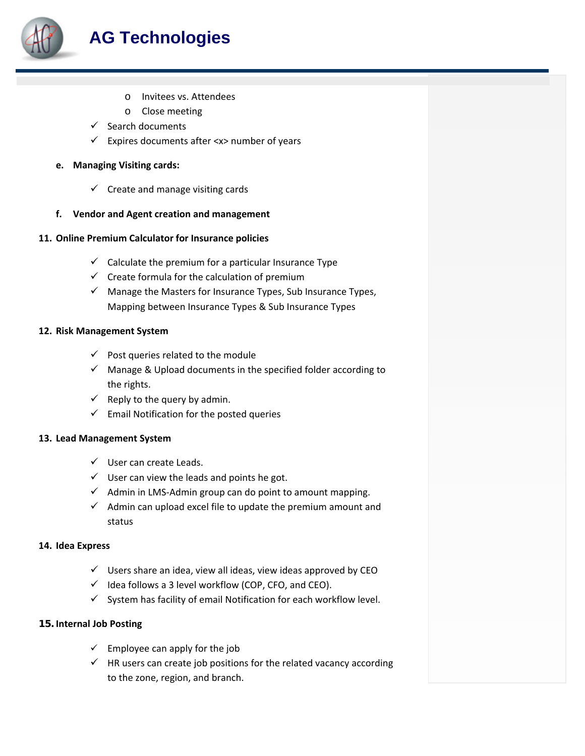

- o Invitees vs. Attendees
- o Close meeting
- $\checkmark$  Search documents
- $\checkmark$  Expires documents after <x> number of years

#### **e. Managing Visiting cards:**

- $\checkmark$  Create and manage visiting cards
- **f. Vendor and Agent creation and management**

#### **11. Online Premium Calculator for Insurance policies**

- $\checkmark$  Calculate the premium for a particular Insurance Type
- $\checkmark$  Create formula for the calculation of premium
- $\checkmark$  Manage the Masters for Insurance Types, Sub Insurance Types, Mapping between Insurance Types & Sub Insurance Types

#### **12. Risk Management System**

- $\checkmark$  Post queries related to the module
- $\checkmark$  Manage & Upload documents in the specified folder according to the rights.
- $\checkmark$  Reply to the query by admin.
- $\checkmark$  Email Notification for the posted queries

#### **13. Lead Management System**

- $\checkmark$  User can create Leads.
- $\checkmark$  User can view the leads and points he got.
- $\checkmark$  Admin in LMS-Admin group can do point to amount mapping.
- $\checkmark$  Admin can upload excel file to update the premium amount and status

#### **14. Idea Express**

- $\checkmark$  Users share an idea, view all ideas, view ideas approved by CEO
- $\checkmark$  Idea follows a 3 level workflow (COP, CFO, and CEO).
- $\checkmark$  System has facility of email Notification for each workflow level.

#### **15. Internal Job Posting**

- $\checkmark$  Employee can apply for the job
- $\checkmark$  HR users can create job positions for the related vacancy according to the zone, region, and branch.